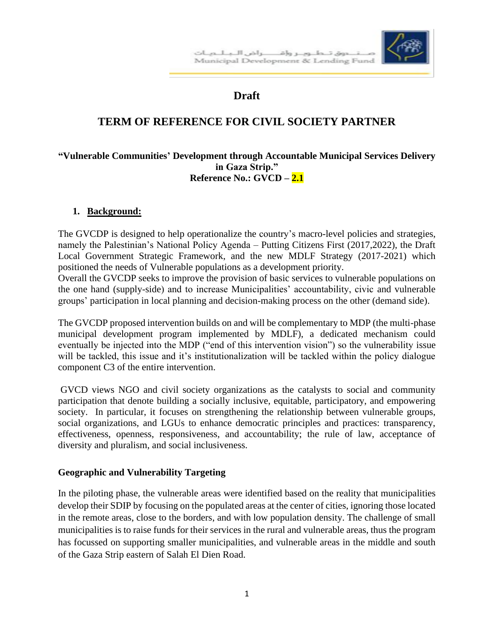

# **Draft**

# **TERM OF REFERENCE FOR CIVIL SOCIETY PARTNER**

#### **"Vulnerable Communities' Development through Accountable Municipal Services Delivery in Gaza Strip." Reference No.: GVCD – 2.1**

#### **1. Background:**

The GVCDP is designed to help operationalize the country's macro-level policies and strategies, namely the Palestinian's National Policy Agenda – Putting Citizens First (2017,2022), the Draft Local Government Strategic Framework, and the new MDLF Strategy (2017-2021) which positioned the needs of Vulnerable populations as a development priority.

Overall the GVCDP seeks to improve the provision of basic services to vulnerable populations on the one hand (supply-side) and to increase Municipalities' accountability, civic and vulnerable groups' participation in local planning and decision-making process on the other (demand side).

The GVCDP proposed intervention builds on and will be complementary to MDP (the multi-phase municipal development program implemented by MDLF), a dedicated mechanism could eventually be injected into the MDP ("end of this intervention vision") so the vulnerability issue will be tackled, this issue and it's institutionalization will be tackled within the policy dialogue component C3 of the entire intervention.

GVCD views NGO and civil society organizations as the catalysts to social and community participation that denote building a socially inclusive, equitable, participatory, and empowering society. In particular, it focuses on strengthening the relationship between vulnerable groups, social organizations, and LGUs to enhance democratic principles and practices: transparency, effectiveness, openness, responsiveness, and accountability; the rule of law, acceptance of diversity and pluralism, and social inclusiveness.

### **Geographic and Vulnerability Targeting**

In the piloting phase, the vulnerable areas were identified based on the reality that municipalities develop their SDIP by focusing on the populated areas at the center of cities, ignoring those located in the remote areas, close to the borders, and with low population density. The challenge of small municipalities is to raise funds for their services in the rural and vulnerable areas, thus the program has focussed on supporting smaller municipalities, and vulnerable areas in the middle and south of the Gaza Strip eastern of Salah El Dien Road.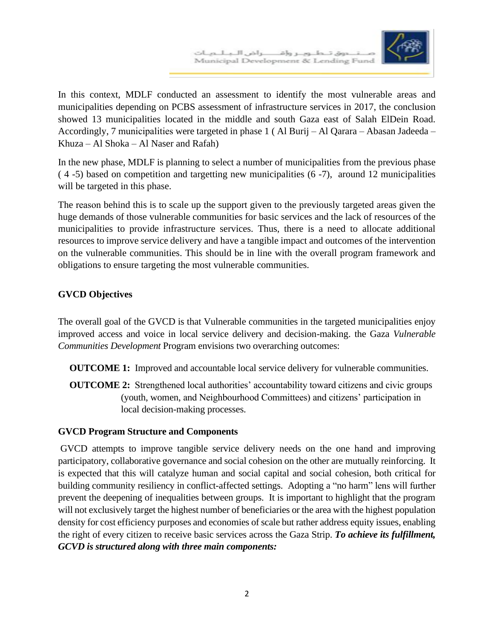

In this context, MDLF conducted an assessment to identify the most vulnerable areas and municipalities depending on PCBS assessment of infrastructure services in 2017, the conclusion showed 13 municipalities located in the middle and south Gaza east of Salah ElDein Road. Accordingly, 7 municipalities were targeted in phase 1 ( Al Burij – Al Qarara – Abasan Jadeeda – Khuza – Al Shoka – Al Naser and Rafah)

In the new phase, MDLF is planning to select a number of municipalities from the previous phase ( 4 -5) based on competition and targetting new municipalities (6 -7), around 12 municipalities will be targeted in this phase.

The reason behind this is to scale up the support given to the previously targeted areas given the huge demands of those vulnerable communities for basic services and the lack of resources of the municipalities to provide infrastructure services. Thus, there is a need to allocate additional resources to improve service delivery and have a tangible impact and outcomes of the intervention on the vulnerable communities. This should be in line with the overall program framework and obligations to ensure targeting the most vulnerable communities.

## **GVCD Objectives**

The overall goal of the GVCD is that Vulnerable communities in the targeted municipalities enjoy improved access and voice in local service delivery and decision-making. the Gaza *Vulnerable Communities Development* Program envisions two overarching outcomes:

- **OUTCOME 1:** Improved and accountable local service delivery for vulnerable communities.
- **OUTCOME 2:** Strengthened local authorities' accountability toward citizens and civic groups (youth, women, and Neighbourhood Committees) and citizens' participation in local decision-making processes.

### **GVCD Program Structure and Components**

GVCD attempts to improve tangible service delivery needs on the one hand and improving participatory, collaborative governance and social cohesion on the other are mutually reinforcing. It is expected that this will catalyze human and social capital and social cohesion, both critical for building community resiliency in conflict-affected settings. Adopting a "no harm" lens will further prevent the deepening of inequalities between groups. It is important to highlight that the program will not exclusively target the highest number of beneficiaries or the area with the highest population density for cost efficiency purposes and economies of scale but rather address equity issues, enabling the right of every citizen to receive basic services across the Gaza Strip. *To achieve its fulfillment, GCVD is structured along with three main components:*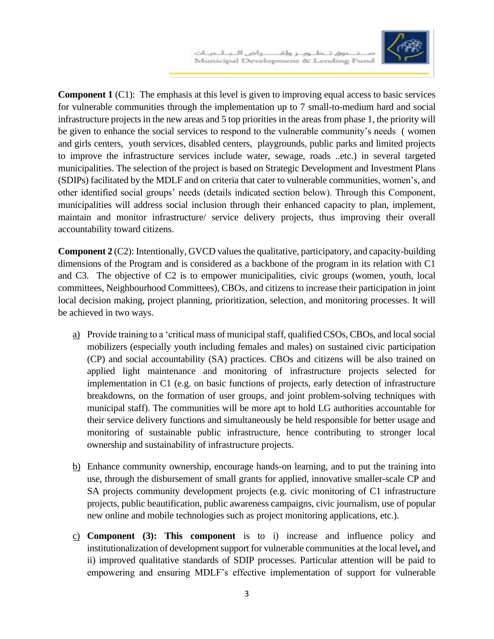

**Component 1** (C1): The emphasis at this level is given to improving equal access to basic services for vulnerable communities through the implementation up to 7 small-to-medium hard and social infrastructure projects in the new areas and 5 top priorities in the areas from phase 1, the priority will be given to enhance the social services to respond to the vulnerable community's needs ( women and girls centers, youth services, disabled centers, playgrounds, public parks and limited projects to improve the infrastructure services include water, sewage, roads ..etc.) in several targeted municipalities. The selection of the project is based on Strategic Development and Investment Plans (SDIPs) facilitated by the MDLF and on criteria that cater to vulnerable communities, women's, and other identified social groups' needs (details indicated section below). Through this Component, municipalities will address social inclusion through their enhanced capacity to plan, implement, maintain and monitor infrastructure/ service delivery projects, thus improving their overall accountability toward citizens.

**Component 2** (C2): Intentionally, GVCD values the qualitative, participatory, and capacity-building dimensions of the Program and is considered as a backbone of the program in its relation with C1 and C3. The objective of C2 is to empower municipalities, civic groups (women, youth, local committees, Neighbourhood Committees), CBOs, and citizens to increase their participation in joint local decision making, project planning, prioritization, selection, and monitoring processes. It will be achieved in two ways.

- a) Provide training to a 'critical mass of municipal staff, qualified CSOs, CBOs, and local social mobilizers (especially youth including females and males) on sustained civic participation (CP) and social accountability (SA) practices. CBOs and citizens will be also trained on applied light maintenance and monitoring of infrastructure projects selected for implementation in C1 (e.g. on basic functions of projects, early detection of infrastructure breakdowns, on the formation of user groups, and joint problem-solving techniques with municipal staff). The communities will be more apt to hold LG authorities accountable for their service delivery functions and simultaneously be held responsible for better usage and monitoring of sustainable public infrastructure, hence contributing to stronger local ownership and sustainability of infrastructure projects.
- b) Enhance community ownership, encourage hands-on learning, and to put the training into use, through the disbursement of small grants for applied, innovative smaller-scale CP and SA projects community development projects (e.g. civic monitoring of C1 infrastructure projects, public beautification, public awareness campaigns, civic journalism, use of popular new online and mobile technologies such as project monitoring applications, etc.).
- c) **Component (3): This component** is to i) increase and influence policy and institutionalization of development support for vulnerable communities at the local level**,** and ii) improved qualitative standards of SDIP processes. Particular attention will be paid to empowering and ensuring MDLF's effective implementation of support for vulnerable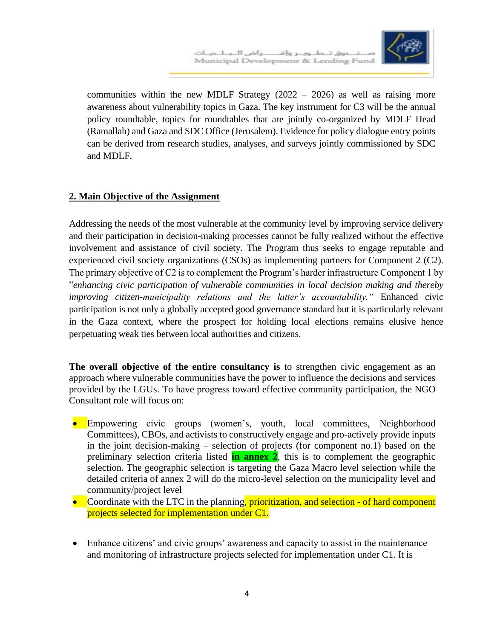

communities within the new MDLF Strategy  $(2022 - 2026)$  as well as raising more awareness about vulnerability topics in Gaza. The key instrument for C3 will be the annual policy roundtable, topics for roundtables that are jointly co-organized by MDLF Head (Ramallah) and Gaza and SDC Office (Jerusalem). Evidence for policy dialogue entry points can be derived from research studies, analyses, and surveys jointly commissioned by SDC and MDLF.

### **2. Main Objective of the Assignment**

Addressing the needs of the most vulnerable at the community level by improving service delivery and their participation in decision-making processes cannot be fully realized without the effective involvement and assistance of civil society. The Program thus seeks to engage reputable and experienced civil society organizations (CSOs) as implementing partners for Component 2 (C2). The primary objective of C2 is to complement the Program's harder infrastructure Component 1 by "*enhancing civic participation of vulnerable communities in local decision making and thereby improving citizen-municipality relations and the latter's accountability."* Enhanced civic participation is not only a globally accepted good governance standard but it is particularly relevant in the Gaza context, where the prospect for holding local elections remains elusive hence perpetuating weak ties between local authorities and citizens.

**The overall objective of the entire consultancy is** to strengthen civic engagement as an approach where vulnerable communities have the power to influence the decisions and services provided by the LGUs. To have progress toward effective community participation, the NGO Consultant role will focus on:

- Empowering civic groups (women's, youth, local committees, Neighborhood Committees), CBOs, and activists to constructively engage and pro-actively provide inputs in the joint decision-making – selection of projects (for component no.1) based on the preliminary selection criteria listed **in annex 2**, this is to complement the geographic selection. The geographic selection is targeting the Gaza Macro level selection while the detailed criteria of annex 2 will do the micro-level selection on the municipality level and community/project level
- Coordinate with the LTC in the planning, prioritization, and selection of hard component projects selected for implementation under C1.
- Enhance citizens' and civic groups' awareness and capacity to assist in the maintenance and monitoring of infrastructure projects selected for implementation under C1. It is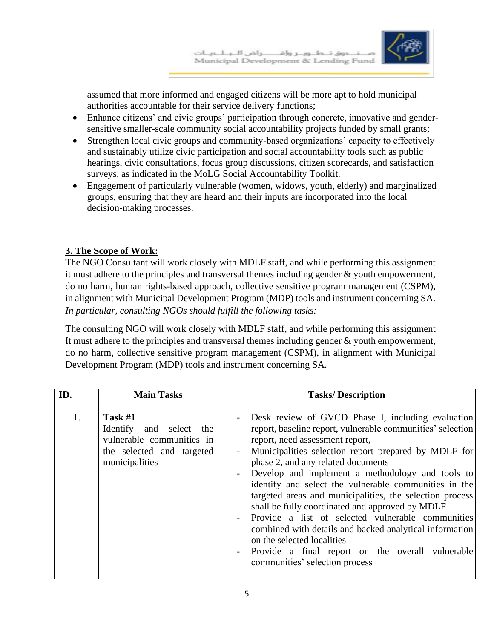

assumed that more informed and engaged citizens will be more apt to hold municipal authorities accountable for their service delivery functions;

- Enhance citizens' and civic groups' participation through concrete, innovative and gendersensitive smaller-scale community social accountability projects funded by small grants;
- Strengthen local civic groups and community-based organizations' capacity to effectively and sustainably utilize civic participation and social accountability tools such as public hearings, civic consultations, focus group discussions, citizen scorecards, and satisfaction surveys, as indicated in the MoLG Social Accountability Toolkit.
- Engagement of particularly vulnerable (women, widows, youth, elderly) and marginalized groups, ensuring that they are heard and their inputs are incorporated into the local decision-making processes.

## **3. The Scope of Work:**

The NGO Consultant will work closely with MDLF staff, and while performing this assignment it must adhere to the principles and transversal themes including gender & youth empowerment, do no harm, human rights-based approach, collective sensitive program management (CSPM), in alignment with Municipal Development Program (MDP) tools and instrument concerning SA. *In particular, consulting NGOs should fulfill the following tasks:* 

The consulting NGO will work closely with MDLF staff, and while performing this assignment It must adhere to the principles and transversal themes including gender & youth empowerment, do no harm, collective sensitive program management (CSPM), in alignment with Municipal Development Program (MDP) tools and instrument concerning SA.

| ID. | <b>Main Tasks</b>                                                                                                | <b>Tasks/Description</b>                                                                                                                                                                                                                                                                                                                                                                                                                                                                                                                                                                                                                                                                                                                     |
|-----|------------------------------------------------------------------------------------------------------------------|----------------------------------------------------------------------------------------------------------------------------------------------------------------------------------------------------------------------------------------------------------------------------------------------------------------------------------------------------------------------------------------------------------------------------------------------------------------------------------------------------------------------------------------------------------------------------------------------------------------------------------------------------------------------------------------------------------------------------------------------|
| 1.  | Task $#1$<br>Identify and select the<br>vulnerable communities in<br>the selected and targeted<br>municipalities | Desk review of GVCD Phase I, including evaluation<br>$\overline{\phantom{a}}$<br>report, baseline report, vulnerable communities' selection<br>report, need assessment report,<br>Municipalities selection report prepared by MDLF for<br>phase 2, and any related documents<br>Develop and implement a methodology and tools to<br>identify and select the vulnerable communities in the<br>targeted areas and municipalities, the selection process<br>shall be fully coordinated and approved by MDLF<br>Provide a list of selected vulnerable communities<br>combined with details and backed analytical information<br>on the selected localities<br>Provide a final report on the overall vulnerable<br>communities' selection process |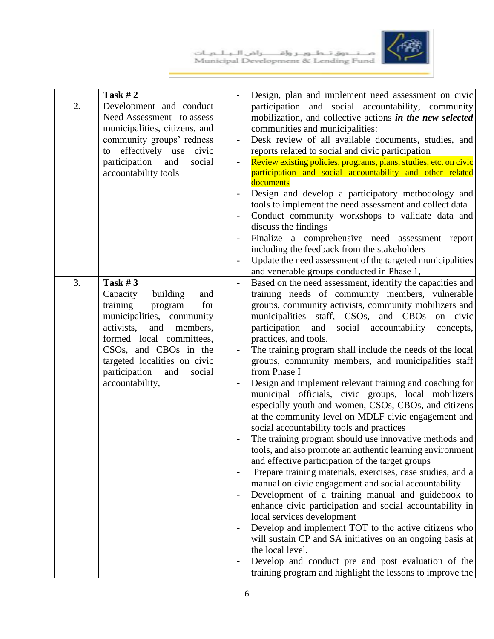صـــــنــــــــوق تـــطـــوبــــر وإقــــــــــراض الـــبــلـــوبــات<br>Municipal Development & Lending Fund



| 2. | <b>Task #2</b><br>Development and conduct<br>Need Assessment to assess<br>municipalities, citizens, and<br>community groups' redness<br>effectively use<br>civic<br>to<br>participation<br>and<br>social<br>accountability tools                                               |                          | Design, plan and implement need assessment on civic<br>participation and social accountability, community<br>mobilization, and collective actions in the new selected<br>communities and municipalities:<br>Desk review of all available documents, studies, and<br>reports related to social and civic participation<br>Review existing policies, programs, plans, studies, etc. on civic<br>participation and social accountability and other related<br>documents<br>Design and develop a participatory methodology and<br>tools to implement the need assessment and collect data<br>Conduct community workshops to validate data and<br>discuss the findings<br>Finalize a comprehensive need assessment report<br>including the feedback from the stakeholders<br>Update the need assessment of the targeted municipalities                                                                                                                                                                                                                                                                                                                                                                                                                                                                                                                                                                                         |
|----|--------------------------------------------------------------------------------------------------------------------------------------------------------------------------------------------------------------------------------------------------------------------------------|--------------------------|---------------------------------------------------------------------------------------------------------------------------------------------------------------------------------------------------------------------------------------------------------------------------------------------------------------------------------------------------------------------------------------------------------------------------------------------------------------------------------------------------------------------------------------------------------------------------------------------------------------------------------------------------------------------------------------------------------------------------------------------------------------------------------------------------------------------------------------------------------------------------------------------------------------------------------------------------------------------------------------------------------------------------------------------------------------------------------------------------------------------------------------------------------------------------------------------------------------------------------------------------------------------------------------------------------------------------------------------------------------------------------------------------------------------------|
| 3. | Task $#3$<br>Capacity<br>building<br>and<br>for<br>training<br>program<br>municipalities, community<br>activists,<br>and<br>members,<br>formed local committees,<br>CSOs, and CBOs in the<br>targeted localities on civic<br>participation<br>and<br>social<br>accountability, | $\overline{\phantom{0}}$ | and venerable groups conducted in Phase 1,<br>Based on the need assessment, identify the capacities and<br>training needs of community members, vulnerable<br>groups, community activists, community mobilizers and<br>municipalities staff, CSOs, and CBOs<br>on civic<br>participation and social accountability<br>concepts,<br>practices, and tools.<br>The training program shall include the needs of the local<br>groups, community members, and municipalities staff<br>from Phase I<br>Design and implement relevant training and coaching for<br>municipal officials, civic groups, local mobilizers<br>especially youth and women, CSOs, CBOs, and citizens<br>at the community level on MDLF civic engagement and<br>social accountability tools and practices<br>The training program should use innovative methods and<br>tools, and also promote an authentic learning environment<br>and effective participation of the target groups<br>Prepare training materials, exercises, case studies, and a<br>manual on civic engagement and social accountability<br>Development of a training manual and guidebook to<br>enhance civic participation and social accountability in<br>local services development<br>Develop and implement TOT to the active citizens who<br>will sustain CP and SA initiatives on an ongoing basis at<br>the local level.<br>Develop and conduct pre and post evaluation of the |
|    |                                                                                                                                                                                                                                                                                |                          | training program and highlight the lessons to improve the                                                                                                                                                                                                                                                                                                                                                                                                                                                                                                                                                                                                                                                                                                                                                                                                                                                                                                                                                                                                                                                                                                                                                                                                                                                                                                                                                                 |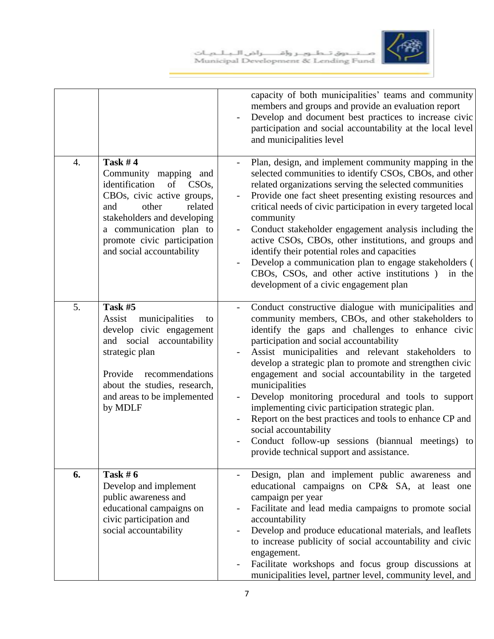



|                  |                                                                                                                                                                                                                                                               | capacity of both municipalities' teams and community<br>members and groups and provide an evaluation report<br>Develop and document best practices to increase civic<br>participation and social accountability at the local level<br>and municipalities level                                                                                                                                                                                                                                                                                                                                                                                                                                           |
|------------------|---------------------------------------------------------------------------------------------------------------------------------------------------------------------------------------------------------------------------------------------------------------|----------------------------------------------------------------------------------------------------------------------------------------------------------------------------------------------------------------------------------------------------------------------------------------------------------------------------------------------------------------------------------------------------------------------------------------------------------------------------------------------------------------------------------------------------------------------------------------------------------------------------------------------------------------------------------------------------------|
| $\overline{4}$ . | Task $#4$<br>Community mapping and<br>identification<br>of<br>CSO <sub>s</sub><br>CBOs, civic active groups,<br>other<br>related<br>and<br>stakeholders and developing<br>a communication plan to<br>promote civic participation<br>and social accountability | Plan, design, and implement community mapping in the<br>selected communities to identify CSOs, CBOs, and other<br>related organizations serving the selected communities<br>Provide one fact sheet presenting existing resources and<br>$\blacksquare$<br>critical needs of civic participation in every targeted local<br>community<br>Conduct stakeholder engagement analysis including the<br>$\overline{\phantom{a}}$<br>active CSOs, CBOs, other institutions, and groups and<br>identify their potential roles and capacities<br>Develop a communication plan to engage stakeholders (<br>CBOs, CSOs, and other active institutions)<br>in the<br>development of a civic engagement plan           |
| 5.               | Task #5<br>Assist<br>municipalities<br>to<br>develop civic engagement<br>and social accountability<br>strategic plan<br>Provide<br>recommendations<br>about the studies, research,<br>and areas to be implemented<br>by MDLF                                  | Conduct constructive dialogue with municipalities and<br>community members, CBOs, and other stakeholders to<br>identify the gaps and challenges to enhance civic<br>participation and social accountability<br>Assist municipalities and relevant stakeholders to<br>develop a strategic plan to promote and strengthen civic<br>engagement and social accountability in the targeted<br>municipalities<br>Develop monitoring procedural and tools to support<br>implementing civic participation strategic plan.<br>Report on the best practices and tools to enhance CP and<br>social accountability<br>Conduct follow-up sessions (biannual meetings) to<br>provide technical support and assistance. |
| 6.               | Task # $6$<br>Develop and implement<br>public awareness and<br>educational campaigns on<br>civic participation and<br>social accountability                                                                                                                   | Design, plan and implement public awareness and<br>educational campaigns on CP& SA, at least one<br>campaign per year<br>Facilitate and lead media campaigns to promote social<br>accountability<br>Develop and produce educational materials, and leaflets<br>to increase publicity of social accountability and civic<br>engagement.<br>Facilitate workshops and focus group discussions at<br>municipalities level, partner level, community level, and                                                                                                                                                                                                                                               |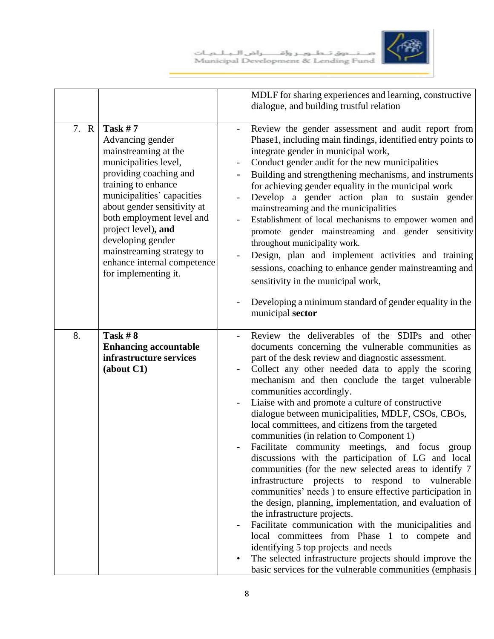

|      |                                                                                                                                                                                                                                                                                                                                                            | MDLF for sharing experiences and learning, constructive<br>dialogue, and building trustful relation                                                                                                                                                                                                                                                                                                                                                                                                                                                                                                                                                                                                                                                                                                                                                                                                                                                                                                                                                                                                                                                                                  |
|------|------------------------------------------------------------------------------------------------------------------------------------------------------------------------------------------------------------------------------------------------------------------------------------------------------------------------------------------------------------|--------------------------------------------------------------------------------------------------------------------------------------------------------------------------------------------------------------------------------------------------------------------------------------------------------------------------------------------------------------------------------------------------------------------------------------------------------------------------------------------------------------------------------------------------------------------------------------------------------------------------------------------------------------------------------------------------------------------------------------------------------------------------------------------------------------------------------------------------------------------------------------------------------------------------------------------------------------------------------------------------------------------------------------------------------------------------------------------------------------------------------------------------------------------------------------|
| 7. R | Task $# 7$<br>Advancing gender<br>mainstreaming at the<br>municipalities level,<br>providing coaching and<br>training to enhance<br>municipalities' capacities<br>about gender sensitivity at<br>both employment level and<br>project level), and<br>developing gender<br>mainstreaming strategy to<br>enhance internal competence<br>for implementing it. | Review the gender assessment and audit report from<br>Phase1, including main findings, identified entry points to<br>integrate gender in municipal work,<br>Conduct gender audit for the new municipalities<br>Building and strengthening mechanisms, and instruments<br>for achieving gender equality in the municipal work<br>Develop a gender action plan to sustain gender<br>mainstreaming and the municipalities<br>Establishment of local mechanisms to empower women and<br>$\overline{\phantom{a}}$<br>promote gender mainstreaming and gender sensitivity<br>throughout municipality work.<br>Design, plan and implement activities and training<br>sessions, coaching to enhance gender mainstreaming and<br>sensitivity in the municipal work,<br>Developing a minimum standard of gender equality in the<br>municipal sector                                                                                                                                                                                                                                                                                                                                            |
| 8.   | <b>Task #8</b><br><b>Enhancing accountable</b><br>infrastructure services<br>(about C1)                                                                                                                                                                                                                                                                    | Review the deliverables of the SDIPs and other<br>documents concerning the vulnerable communities as<br>part of the desk review and diagnostic assessment.<br>Collect any other needed data to apply the scoring<br>mechanism and then conclude the target vulnerable<br>communities accordingly.<br>Liaise with and promote a culture of constructive<br>dialogue between municipalities, MDLF, CSOs, CBOs,<br>local committees, and citizens from the targeted<br>communities (in relation to Component 1)<br>Facilitate community meetings, and focus<br>group<br>discussions with the participation of LG and local<br>communities (for the new selected areas to identify 7<br>infrastructure<br>projects to respond to<br>vulnerable<br>communities' needs) to ensure effective participation in<br>the design, planning, implementation, and evaluation of<br>the infrastructure projects.<br>Facilitate communication with the municipalities and<br>local committees from Phase 1 to compete and<br>identifying 5 top projects and needs<br>The selected infrastructure projects should improve the<br>$\bullet$<br>basic services for the vulnerable communities (emphasis |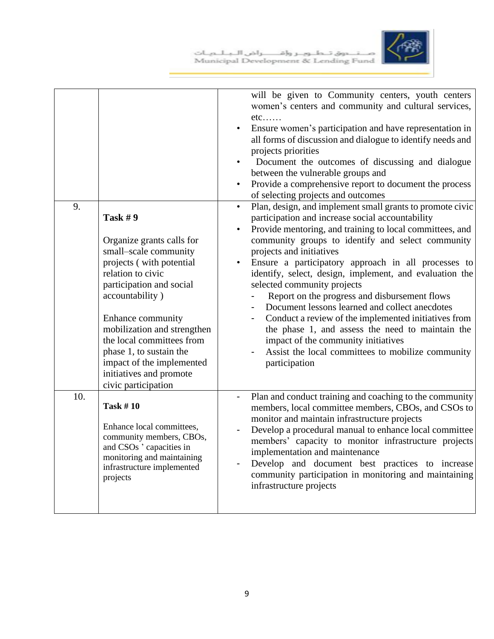

| 9.  | <b>Task #9</b><br>Organize grants calls for<br>small-scale community<br>projects (with potential<br>relation to civic<br>participation and social<br>accountability)<br>Enhance community<br>mobilization and strengthen<br>the local committees from<br>phase 1, to sustain the<br>impact of the implemented<br>initiatives and promote<br>civic participation | will be given to Community centers, youth centers<br>women's centers and community and cultural services,<br>$etc.$<br>Ensure women's participation and have representation in<br>all forms of discussion and dialogue to identify needs and<br>projects priorities<br>Document the outcomes of discussing and dialogue<br>between the vulnerable groups and<br>Provide a comprehensive report to document the process<br>$\bullet$<br>of selecting projects and outcomes<br>Plan, design, and implement small grants to promote civic<br>$\bullet$<br>participation and increase social accountability<br>Provide mentoring, and training to local committees, and<br>$\bullet$<br>community groups to identify and select community<br>projects and initiatives<br>Ensure a participatory approach in all processes to<br>$\bullet$<br>identify, select, design, implement, and evaluation the<br>selected community projects<br>Report on the progress and disbursement flows<br>Document lessons learned and collect anecdotes<br>Conduct a review of the implemented initiatives from<br>the phase 1, and assess the need to maintain the<br>impact of the community initiatives<br>Assist the local committees to mobilize community<br>participation |
|-----|-----------------------------------------------------------------------------------------------------------------------------------------------------------------------------------------------------------------------------------------------------------------------------------------------------------------------------------------------------------------|-------------------------------------------------------------------------------------------------------------------------------------------------------------------------------------------------------------------------------------------------------------------------------------------------------------------------------------------------------------------------------------------------------------------------------------------------------------------------------------------------------------------------------------------------------------------------------------------------------------------------------------------------------------------------------------------------------------------------------------------------------------------------------------------------------------------------------------------------------------------------------------------------------------------------------------------------------------------------------------------------------------------------------------------------------------------------------------------------------------------------------------------------------------------------------------------------------------------------------------------------------------|
| 10. | <b>Task #10</b><br>Enhance local committees,<br>community members, CBOs,<br>and CSOs ' capacities in<br>monitoring and maintaining<br>infrastructure implemented<br>projects                                                                                                                                                                                    | Plan and conduct training and coaching to the community<br>members, local committee members, CBOs, and CSOs to<br>monitor and maintain infrastructure projects<br>Develop a procedural manual to enhance local committee<br>members' capacity to monitor infrastructure projects<br>implementation and maintenance<br>Develop and document best practices to increase<br>community participation in monitoring and maintaining<br>infrastructure projects                                                                                                                                                                                                                                                                                                                                                                                                                                                                                                                                                                                                                                                                                                                                                                                                   |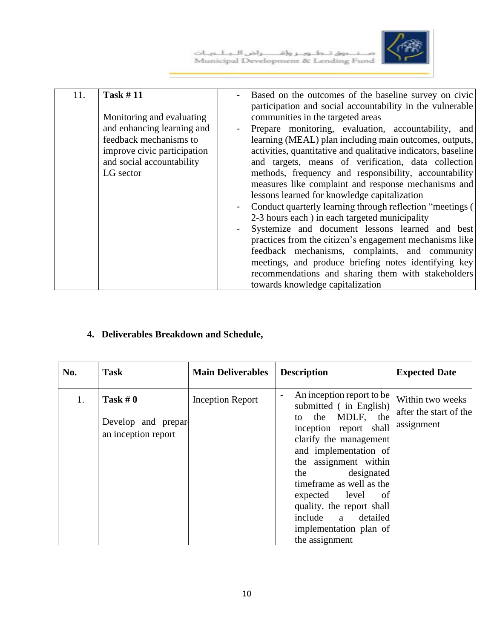صـــنــــــــــوق تـــطـــوبـــــر وإقـــــــــــراض الـــبــلـــمـــات<br>Municipal Development & Lending Fund



| 11. | <b>Task #11</b><br>Monitoring and evaluating<br>and enhancing learning and<br>feedback mechanisms to<br>improve civic participation<br>and social accountability<br>LG sector | - | Based on the outcomes of the baseline survey on civic<br>participation and social accountability in the vulnerable<br>communities in the targeted areas<br>Prepare monitoring, evaluation, accountability, and<br>learning (MEAL) plan including main outcomes, outputs,<br>activities, quantitative and qualitative indicators, baseline<br>and targets, means of verification, data collection<br>methods, frequency and responsibility, accountability<br>measures like complaint and response mechanisms and<br>lessons learned for knowledge capitalization<br>Conduct quarterly learning through reflection "meetings (<br>2-3 hours each) in each targeted municipality<br>Systemize and document lessons learned and best<br>practices from the citizen's engagement mechanisms like<br>feedback mechanisms, complaints, and community<br>meetings, and produce briefing notes identifying key<br>recommendations and sharing them with stakeholders |
|-----|-------------------------------------------------------------------------------------------------------------------------------------------------------------------------------|---|--------------------------------------------------------------------------------------------------------------------------------------------------------------------------------------------------------------------------------------------------------------------------------------------------------------------------------------------------------------------------------------------------------------------------------------------------------------------------------------------------------------------------------------------------------------------------------------------------------------------------------------------------------------------------------------------------------------------------------------------------------------------------------------------------------------------------------------------------------------------------------------------------------------------------------------------------------------|
|     |                                                                                                                                                                               |   |                                                                                                                                                                                                                                                                                                                                                                                                                                                                                                                                                                                                                                                                                                                                                                                                                                                                                                                                                              |
|     |                                                                                                                                                                               |   | towards knowledge capitalization                                                                                                                                                                                                                                                                                                                                                                                                                                                                                                                                                                                                                                                                                                                                                                                                                                                                                                                             |

## **4. Deliverables Breakdown and Schedule,**

| No. | <b>Task</b>                                              | <b>Main Deliverables</b> | <b>Description</b>                                                                                                                                                                                                                                                                                                                                      | <b>Expected Date</b>                                     |
|-----|----------------------------------------------------------|--------------------------|---------------------------------------------------------------------------------------------------------------------------------------------------------------------------------------------------------------------------------------------------------------------------------------------------------------------------------------------------------|----------------------------------------------------------|
| 1.  | Task # $0$<br>Develop and prepare<br>an inception report | <b>Inception Report</b>  | An inception report to be<br>submitted (in English)<br>to the MDLF, the<br>inception report shall<br>clarify the management<br>and implementation of<br>the assignment within<br>designated<br>the<br>time frame as well as the<br>expected level<br>-of<br>quality. the report shall<br>include a detailed<br>implementation plan of<br>the assignment | Within two weeks<br>after the start of the<br>assignment |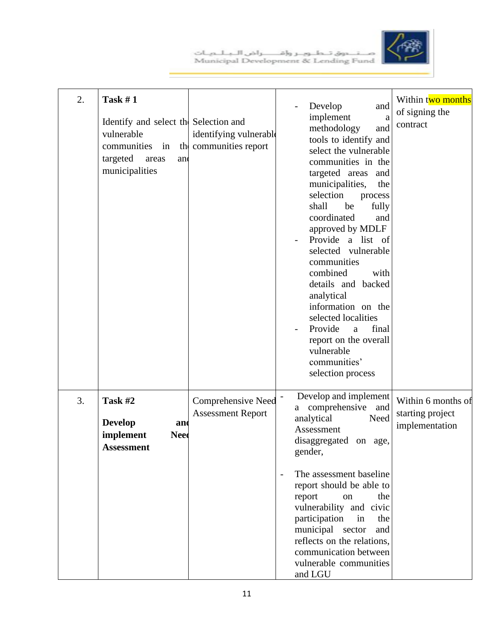

| 2. | Task $#1$<br>Identify and select the Selection and<br>vulnerable<br>communities in<br>targeted<br>areas<br>and<br>municipalities | identifying vulnerable<br>the communities report      | Develop<br>and<br>implement<br>$\rm{a}$<br>methodology<br>and<br>tools to identify and<br>select the vulnerable<br>communities in the<br>targeted areas and<br>municipalities,<br>the<br>selection<br>process<br>shall<br>be<br>fully<br>coordinated<br>and<br>approved by MDLF<br>Provide a list of<br>selected vulnerable<br>communities<br>combined<br>with<br>details and backed<br>analytical<br>information on the<br>selected localities<br>Provide<br>final<br>a<br>report on the overall<br>vulnerable<br>communities'<br>selection process | Within two months<br>of signing the<br>contract          |
|----|----------------------------------------------------------------------------------------------------------------------------------|-------------------------------------------------------|------------------------------------------------------------------------------------------------------------------------------------------------------------------------------------------------------------------------------------------------------------------------------------------------------------------------------------------------------------------------------------------------------------------------------------------------------------------------------------------------------------------------------------------------------|----------------------------------------------------------|
| 3. | Task #2<br><b>Develop</b><br>and<br>implement<br>Need<br>Assessment                                                              | <b>Comprehensive Need</b><br><b>Assessment Report</b> | Develop and implement<br>$\overline{\phantom{a}}$<br>a comprehensive<br>and<br>analytical<br>Need<br>Assessment<br>disaggregated on age,<br>gender,<br>The assessment baseline<br>$\overline{\phantom{a}}$<br>report should be able to<br>report<br>on<br>the<br>vulnerability and civic<br>participation<br>in<br>the<br>municipal sector<br>and<br>reflects on the relations,<br>communication between<br>vulnerable communities<br>and LGU                                                                                                        | Within 6 months of<br>starting project<br>implementation |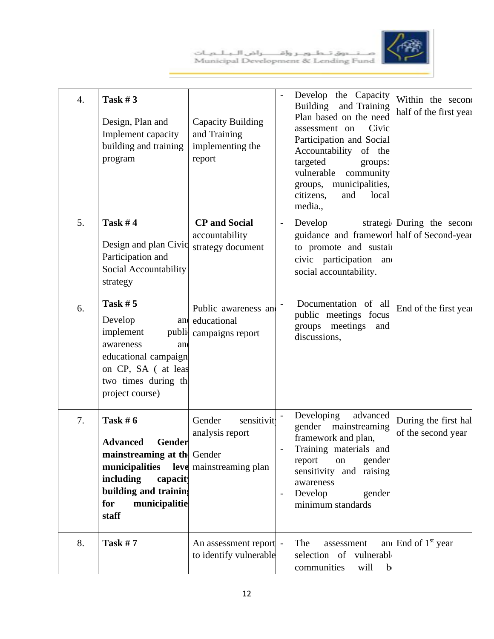

| 4. | Task $#3$<br>Design, Plan and<br>Implement capacity<br>building and training<br>program                                                                                    | Capacity Building<br>and Training<br>implementing the<br>report    |                          | Develop the Capacity<br>and Training<br>Building<br>Plan based on the need<br>Civic<br>assessment on<br>Participation and Social<br>Accountability<br>of the<br>targeted<br>groups:<br>vulnerable<br>community<br>municipalities,<br>groups,<br>citizens,<br>and<br>local<br>media., | Within the second<br>half of the first year |
|----|----------------------------------------------------------------------------------------------------------------------------------------------------------------------------|--------------------------------------------------------------------|--------------------------|--------------------------------------------------------------------------------------------------------------------------------------------------------------------------------------------------------------------------------------------------------------------------------------|---------------------------------------------|
| 5. | <b>Task #4</b><br>Design and plan Civic<br>Participation and<br>Social Accountability<br>strategy                                                                          | <b>CP</b> and Social<br>accountability<br>strategy document        | $\overline{\phantom{a}}$ | Develop<br>guidance and frameworl half of Second-year<br>to promote and sustail<br>civic participation and<br>social accountability.                                                                                                                                                 | strategi During the second                  |
| 6. | <b>Task #5</b><br>Develop<br>and<br>implement<br>public<br>awareness<br>an<br>educational campaign<br>on CP, SA ( at leas<br>two times during the<br>project course)       | Public awareness and<br>educational<br>campaigns report            |                          | Documentation of all<br>public meetings focus<br>groups meetings<br>and<br>discussions,                                                                                                                                                                                              | End of the first year                       |
| 7. | Task $#6$<br><b>Advanced</b><br>Gender<br>mainstreaming at the Gender<br>municipalities<br>including<br>capacity<br>building and training<br>municipalitie<br>for<br>staff | Gender<br>sensitivit<br>analysis report<br>leve mainstreaming plan | $\overline{\phantom{a}}$ | Developing<br>advanced<br>gender<br>mainstreaming<br>framework and plan,<br>Training materials and<br>gender<br>report<br>on<br>sensitivity and raising<br>awareness<br>Develop<br>gender<br>minimum standards                                                                       | During the first hal<br>of the second year  |
| 8. | <b>Task #7</b>                                                                                                                                                             | An assessment report -<br>to identify vulnerable                   |                          | The<br>assessment<br>selection of vulnerable<br>communities<br>will<br>$\mathbf b$                                                                                                                                                                                                   | and End of 1 <sup>st</sup> year             |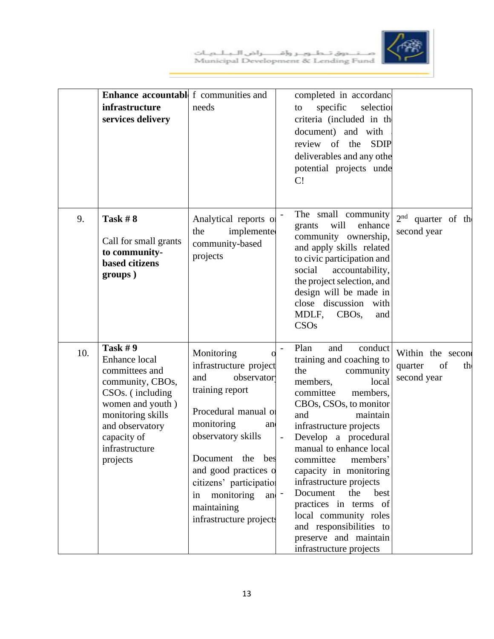



|     | <b>Enhance accountable</b> f communities and<br>infrastructure<br>services delivery                                                                                                                             | needs                                                                                                                                                                                                                                                                                       | completed in accordanc<br>specific<br>selection<br>to<br>criteria (included in the<br>document) and with<br><b>SDIP</b><br>review of the<br>deliverables and any other<br>potential projects unde<br>C!                                                                                                                                                                                                                                                                                                               |                                                         |
|-----|-----------------------------------------------------------------------------------------------------------------------------------------------------------------------------------------------------------------|---------------------------------------------------------------------------------------------------------------------------------------------------------------------------------------------------------------------------------------------------------------------------------------------|-----------------------------------------------------------------------------------------------------------------------------------------------------------------------------------------------------------------------------------------------------------------------------------------------------------------------------------------------------------------------------------------------------------------------------------------------------------------------------------------------------------------------|---------------------------------------------------------|
| 9.  | Task $#8$<br>Call for small grants<br>to community-<br><b>based</b> citizens<br>groups)                                                                                                                         | Analytical reports of<br>the<br>implemente<br>community-based<br>projects                                                                                                                                                                                                                   | The small community<br>will<br>enhance<br>grants<br>community ownership,<br>and apply skills related<br>to civic participation and<br>social<br>accountability,<br>the project selection, and<br>design will be made in<br>close discussion with<br>MDLF,<br>$CBOs$ ,<br>and<br>CSO <sub>s</sub>                                                                                                                                                                                                                      | $2nd$ quarter of the<br>second year                     |
| 10. | <b>Task #9</b><br>Enhance local<br>committees and<br>community, CBOs,<br>CSO <sub>s</sub> . (including<br>women and youth)<br>monitoring skills<br>and observatory<br>capacity of<br>infrastructure<br>projects | Monitoring<br>infrastructure project<br>observator<br>and<br>training report<br>Procedural manual of<br>monitoring<br>and<br>observatory skills<br>Document the bes<br>and good practices o<br>citizens' participation<br>monitoring<br>in<br>and<br>maintaining<br>infrastructure projects | Plan<br>conduct<br>and<br>training and coaching to<br>the<br>community<br>local<br>members,<br>committee<br>members,<br>CBOs, CSOs, to monitor<br>and<br>maintain<br>infrastructure projects<br>Develop a procedural<br>$\overline{\phantom{a}}$<br>manual to enhance local<br>committee<br>members'<br>capacity in monitoring<br>infrastructure projects<br>Document<br>the<br>best<br>practices in terms of<br>local community roles<br>and responsibilities to<br>preserve and maintain<br>infrastructure projects | Within the second<br>of<br>quarter<br>th<br>second year |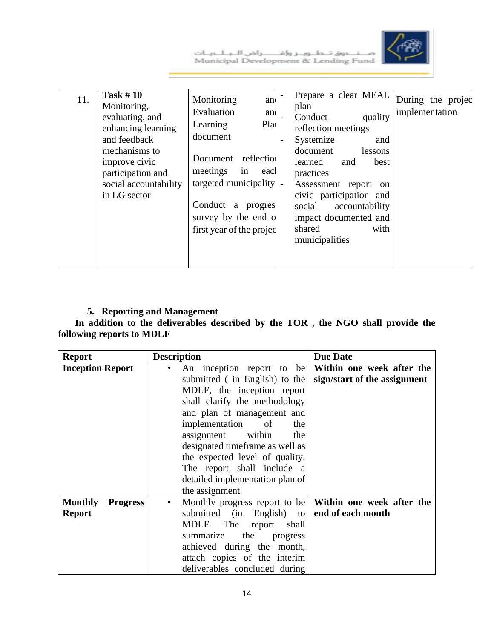



| 11. | <b>Task #10</b><br>Monitoring,<br>evaluating, and<br>enhancing learning<br>and feedback<br>mechanisms to<br>improve civic<br>participation and<br>social accountability<br>in LG sector | Monitoring<br>and<br>Evaluation<br>and<br>Pla<br>Learning<br>document<br>reflection<br>Document<br>meetings<br>in<br>eacl<br>targeted municipality -<br>Conduct a<br>progres<br>survey by the end o<br>first year of the projec |  | Prepare a clear MEAL<br>plan<br>Conduct<br>reflection meetings<br>Systemize<br>document<br>learned<br>practices<br>Assessment report<br>civic participation and<br>social<br>impact documented and<br>shared<br>municipalities | and | quality<br>and<br>lessons<br>best<br><sub>on</sub><br>accountability<br>with | implementation | During the projec |
|-----|-----------------------------------------------------------------------------------------------------------------------------------------------------------------------------------------|---------------------------------------------------------------------------------------------------------------------------------------------------------------------------------------------------------------------------------|--|--------------------------------------------------------------------------------------------------------------------------------------------------------------------------------------------------------------------------------|-----|------------------------------------------------------------------------------|----------------|-------------------|
|-----|-----------------------------------------------------------------------------------------------------------------------------------------------------------------------------------------|---------------------------------------------------------------------------------------------------------------------------------------------------------------------------------------------------------------------------------|--|--------------------------------------------------------------------------------------------------------------------------------------------------------------------------------------------------------------------------------|-----|------------------------------------------------------------------------------|----------------|-------------------|

## **5. Reporting and Management**

 **In addition to the deliverables described by the TOR , the NGO shall provide the following reports to MDLF**

| <b>Report</b>                                      | <b>Description</b>                                                                                                                                                                                                                                                                                                                                                          | <b>Due Date</b>                                           |
|----------------------------------------------------|-----------------------------------------------------------------------------------------------------------------------------------------------------------------------------------------------------------------------------------------------------------------------------------------------------------------------------------------------------------------------------|-----------------------------------------------------------|
| <b>Inception Report</b>                            | An inception report to be<br>submitted (in English) to the<br>MDLF, the inception report<br>shall clarify the methodology<br>and plan of management and<br>implementation<br>of<br>the<br>assignment within<br>the<br>designated timeframe as well as<br>the expected level of quality.<br>The report shall include a<br>detailed implementation plan of<br>the assignment. | Within one week after the<br>sign/start of the assignment |
| <b>Monthly</b><br><b>Progress</b><br><b>Report</b> | Monthly progress report to be<br>$\bullet$<br>submitted (in English) to<br>MDLF. The<br>report<br>shall<br>the<br>summarize<br>progress<br>achieved during the month,<br>attach copies of the interim<br>deliverables concluded during                                                                                                                                      | Within one week after the<br>end of each month            |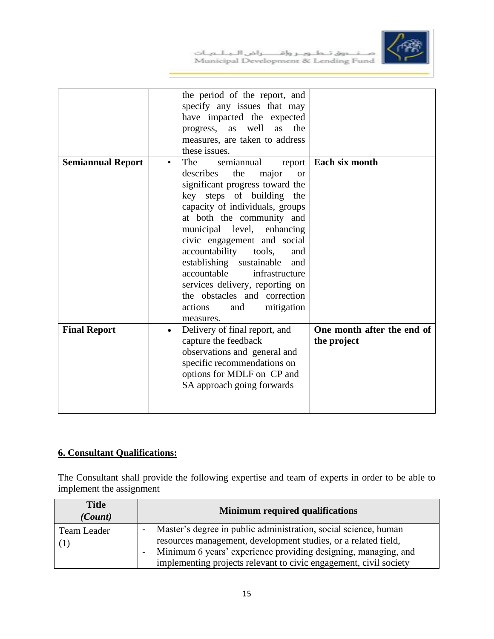

|                          | the period of the report, and<br>specify any issues that may<br>have impacted the expected<br>as well<br>as<br>the<br>progress,<br>measures, are taken to address<br>these issues.                                                                                                                                                                                                                                                                                                                    |                                           |
|--------------------------|-------------------------------------------------------------------------------------------------------------------------------------------------------------------------------------------------------------------------------------------------------------------------------------------------------------------------------------------------------------------------------------------------------------------------------------------------------------------------------------------------------|-------------------------------------------|
| <b>Semiannual Report</b> | <b>The</b><br>semiannual<br>report<br>٠<br>the<br>describes<br>major<br><b>or</b><br>significant progress toward the<br>key steps of building the<br>capacity of individuals, groups<br>at both the community and<br>municipal level, enhancing<br>civic engagement and social<br>accountability<br>tools,<br>and<br>establishing sustainable<br>and<br>accountable<br>infrastructure<br>services delivery, reporting on<br>the obstacles and correction<br>mitigation<br>actions<br>and<br>measures. | Each six month                            |
| <b>Final Report</b>      | Delivery of final report, and<br>$\bullet$<br>capture the feedback<br>observations and general and<br>specific recommendations on<br>options for MDLF on CP and<br>SA approach going forwards                                                                                                                                                                                                                                                                                                         | One month after the end of<br>the project |

## **6. Consultant Qualifications:**

The Consultant shall provide the following expertise and team of experts in order to be able to implement the assignment

| <b>Title</b><br>(Count) | <b>Minimum required qualifications</b>                                                                                                                                                                                                                                   |
|-------------------------|--------------------------------------------------------------------------------------------------------------------------------------------------------------------------------------------------------------------------------------------------------------------------|
| Team Leader             | Master's degree in public administration, social science, human<br>resources management, development studies, or a related field,<br>Minimum 6 years' experience providing designing, managing, and<br>implementing projects relevant to civic engagement, civil society |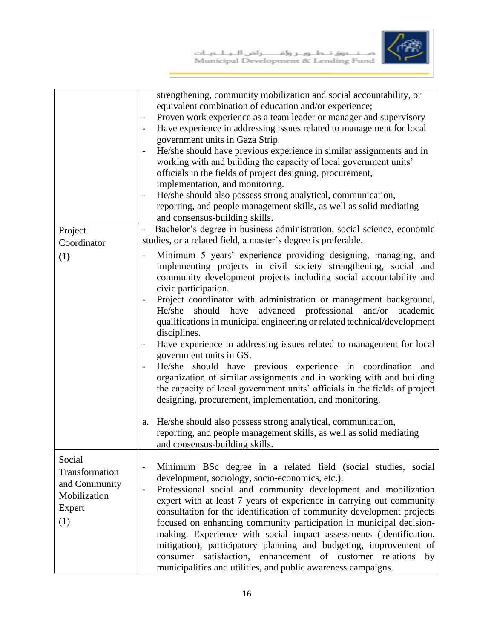

|                                                                            | strengthening, community mobilization and social accountability, or<br>equivalent combination of education and/or experience;<br>Proven work experience as a team leader or manager and supervisory<br>Have experience in addressing issues related to management for local<br>government units in Gaza Strip.<br>He/she should have previous experience in similar assignments and in<br>working with and building the capacity of local government units'<br>officials in the fields of project designing, procurement,<br>implementation, and monitoring.<br>He/she should also possess strong analytical, communication,<br>$\qquad \qquad \blacksquare$<br>reporting, and people management skills, as well as solid mediating<br>and consensus-building skills.                                                                                                                |
|----------------------------------------------------------------------------|--------------------------------------------------------------------------------------------------------------------------------------------------------------------------------------------------------------------------------------------------------------------------------------------------------------------------------------------------------------------------------------------------------------------------------------------------------------------------------------------------------------------------------------------------------------------------------------------------------------------------------------------------------------------------------------------------------------------------------------------------------------------------------------------------------------------------------------------------------------------------------------|
| Project                                                                    | Bachelor's degree in business administration, social science, economic<br>$\overline{\phantom{a}}$                                                                                                                                                                                                                                                                                                                                                                                                                                                                                                                                                                                                                                                                                                                                                                                   |
| Coordinator                                                                | studies, or a related field, a master's degree is preferable.                                                                                                                                                                                                                                                                                                                                                                                                                                                                                                                                                                                                                                                                                                                                                                                                                        |
| (1)                                                                        | Minimum 5 years' experience providing designing, managing, and<br>$\overline{\phantom{0}}$<br>implementing projects in civil society strengthening, social and<br>community development projects including social accountability and<br>civic participation.<br>Project coordinator with administration or management background,<br>should have advanced professional<br>and/or<br>academic<br>He/she<br>qualifications in municipal engineering or related technical/development<br>disciplines.<br>Have experience in addressing issues related to management for local<br>government units in GS.<br>He/she should have previous experience in coordination and<br>organization of similar assignments and in working with and building<br>the capacity of local government units' officials in the fields of project<br>designing, procurement, implementation, and monitoring. |
|                                                                            | He/she should also possess strong analytical, communication,<br>a.<br>reporting, and people management skills, as well as solid mediating<br>and consensus-building skills.                                                                                                                                                                                                                                                                                                                                                                                                                                                                                                                                                                                                                                                                                                          |
| Social<br>Transformation<br>and Community<br>Mobilization<br>Expert<br>(1) | Minimum BSc degree in a related field (social studies, social<br>development, sociology, socio-economics, etc.).<br>Professional social and community development and mobilization<br>$\overline{\phantom{0}}$<br>expert with at least 7 years of experience in carrying out community<br>consultation for the identification of community development projects<br>focused on enhancing community participation in municipal decision-<br>making. Experience with social impact assessments (identification,<br>mitigation), participatory planning and budgeting, improvement of<br>satisfaction, enhancement of customer relations<br>consumer<br>by<br>municipalities and utilities, and public awareness campaigns.                                                                                                                                                              |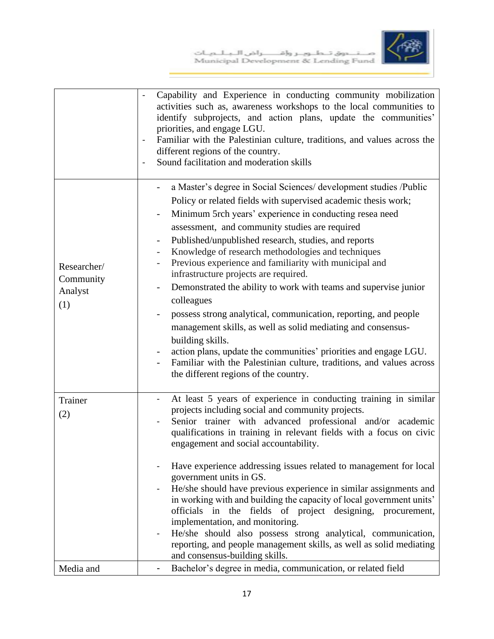

|                                            | Capability and Experience in conducting community mobilization<br>activities such as, awareness workshops to the local communities to<br>identify subprojects, and action plans, update the communities'<br>priorities, and engage LGU.<br>Familiar with the Palestinian culture, traditions, and values across the<br>different regions of the country.<br>Sound facilitation and moderation skills                                                                                                                                                                                                                                                                                                                                                                                                                                                                                            |
|--------------------------------------------|-------------------------------------------------------------------------------------------------------------------------------------------------------------------------------------------------------------------------------------------------------------------------------------------------------------------------------------------------------------------------------------------------------------------------------------------------------------------------------------------------------------------------------------------------------------------------------------------------------------------------------------------------------------------------------------------------------------------------------------------------------------------------------------------------------------------------------------------------------------------------------------------------|
| Researcher/<br>Community<br>Analyst<br>(1) | a Master's degree in Social Sciences/ development studies /Public<br>Policy or related fields with supervised academic thesis work;<br>Minimum 5rch years' experience in conducting resea need<br>assessment, and community studies are required<br>Published/unpublished research, studies, and reports<br>Knowledge of research methodologies and techniques<br>Previous experience and familiarity with municipal and<br>infrastructure projects are required.<br>Demonstrated the ability to work with teams and supervise junior<br>colleagues<br>possess strong analytical, communication, reporting, and people<br>management skills, as well as solid mediating and consensus-<br>building skills.<br>action plans, update the communities' priorities and engage LGU.<br>Familiar with the Palestinian culture, traditions, and values across<br>the different regions of the country. |
| Trainer<br>(2)                             | At least 5 years of experience in conducting training in similar<br>projects including social and community projects.<br>Senior trainer with advanced professional and/or academic<br>qualifications in training in relevant fields with a focus on civic<br>engagement and social accountability.<br>Have experience addressing issues related to management for local<br>government units in GS.<br>He/she should have previous experience in similar assignments and<br>in working with and building the capacity of local government units'<br>officials in the fields of project designing, procurement,<br>implementation, and monitoring.<br>He/she should also possess strong analytical, communication,<br>reporting, and people management skills, as well as solid mediating<br>and consensus-building skills.                                                                       |
| Media and                                  | Bachelor's degree in media, communication, or related field                                                                                                                                                                                                                                                                                                                                                                                                                                                                                                                                                                                                                                                                                                                                                                                                                                     |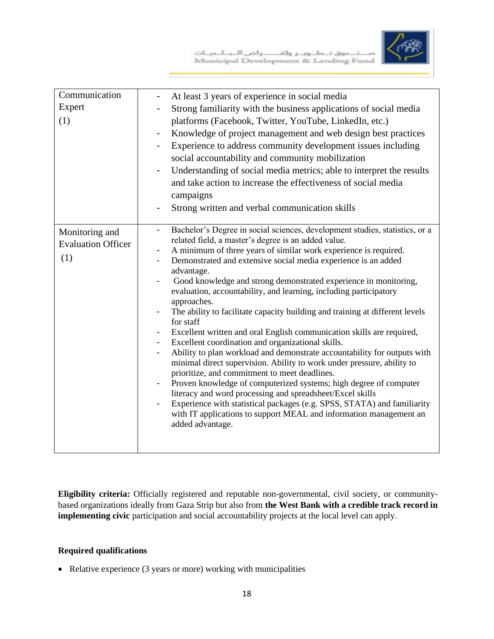

|  |  | صنتدوق تطاوير وإقاصراض الابالحيات    |  |
|--|--|--------------------------------------|--|
|  |  | Municipal Development & Lending Fund |  |

| Communication             | At least 3 years of experience in social media<br>-                                                                                                  |
|---------------------------|------------------------------------------------------------------------------------------------------------------------------------------------------|
| Expert                    | Strong familiarity with the business applications of social media                                                                                    |
| (1)                       | platforms (Facebook, Twitter, YouTube, LinkedIn, etc.)                                                                                               |
|                           | Knowledge of project management and web design best practices<br>-                                                                                   |
|                           | Experience to address community development issues including                                                                                         |
|                           | social accountability and community mobilization                                                                                                     |
|                           | Understanding of social media metrics; able to interpret the results                                                                                 |
|                           | and take action to increase the effectiveness of social media                                                                                        |
|                           | campaigns                                                                                                                                            |
|                           | Strong written and verbal communication skills                                                                                                       |
|                           |                                                                                                                                                      |
| Monitoring and            | Bachelor's Degree in social sciences, development studies, statistics, or a<br>$\blacksquare$<br>related field, a master's degree is an added value. |
| <b>Evaluation Officer</b> | A minimum of three years of similar work experience is required.                                                                                     |
| (1)                       | Demonstrated and extensive social media experience is an added                                                                                       |
|                           | advantage.                                                                                                                                           |
|                           | Good knowledge and strong demonstrated experience in monitoring,                                                                                     |
|                           | evaluation, accountability, and learning, including participatory<br>approaches.                                                                     |
|                           | The ability to facilitate capacity building and training at different levels                                                                         |
|                           | for staff                                                                                                                                            |
|                           | Excellent written and oral English communication skills are required,                                                                                |
|                           | Excellent coordination and organizational skills.                                                                                                    |
|                           | Ability to plan workload and demonstrate accountability for outputs with<br>minimal direct supervision. Ability to work under pressure, ability to   |
|                           | prioritize, and commitment to meet deadlines.                                                                                                        |
|                           | Proven knowledge of computerized systems; high degree of computer                                                                                    |
|                           | literacy and word processing and spreadsheet/Excel skills                                                                                            |
|                           | Experience with statistical packages (e.g. SPSS, STATA) and familiarity                                                                              |
|                           | with IT applications to support MEAL and information management an<br>added advantage.                                                               |
|                           |                                                                                                                                                      |
|                           |                                                                                                                                                      |

**Eligibility criteria:** Officially registered and reputable non-governmental, civil society, or communitybased organizations ideally from Gaza Strip but also from **the West Bank with a credible track record in implementing civic** participation and social accountability projects at the local level can apply.

#### **Required qualifications**

• Relative experience (3 years or more) working with municipalities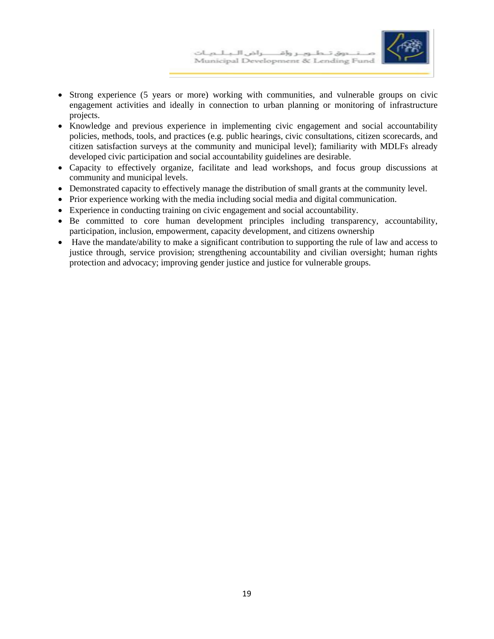

- Strong experience (5 years or more) working with communities, and vulnerable groups on civic engagement activities and ideally in connection to urban planning or monitoring of infrastructure projects.
- Knowledge and previous experience in implementing civic engagement and social accountability policies, methods, tools, and practices (e.g. public hearings, civic consultations, citizen scorecards, and citizen satisfaction surveys at the community and municipal level); familiarity with MDLFs already developed civic participation and social accountability guidelines are desirable.
- Capacity to effectively organize, facilitate and lead workshops, and focus group discussions at community and municipal levels.
- Demonstrated capacity to effectively manage the distribution of small grants at the community level.
- Prior experience working with the media including social media and digital communication.
- Experience in conducting training on civic engagement and social accountability.
- Be committed to core human development principles including transparency, accountability, participation, inclusion, empowerment, capacity development, and citizens ownership
- Have the mandate/ability to make a significant contribution to supporting the rule of law and access to justice through, service provision; strengthening accountability and civilian oversight; human rights protection and advocacy; improving gender justice and justice for vulnerable groups.